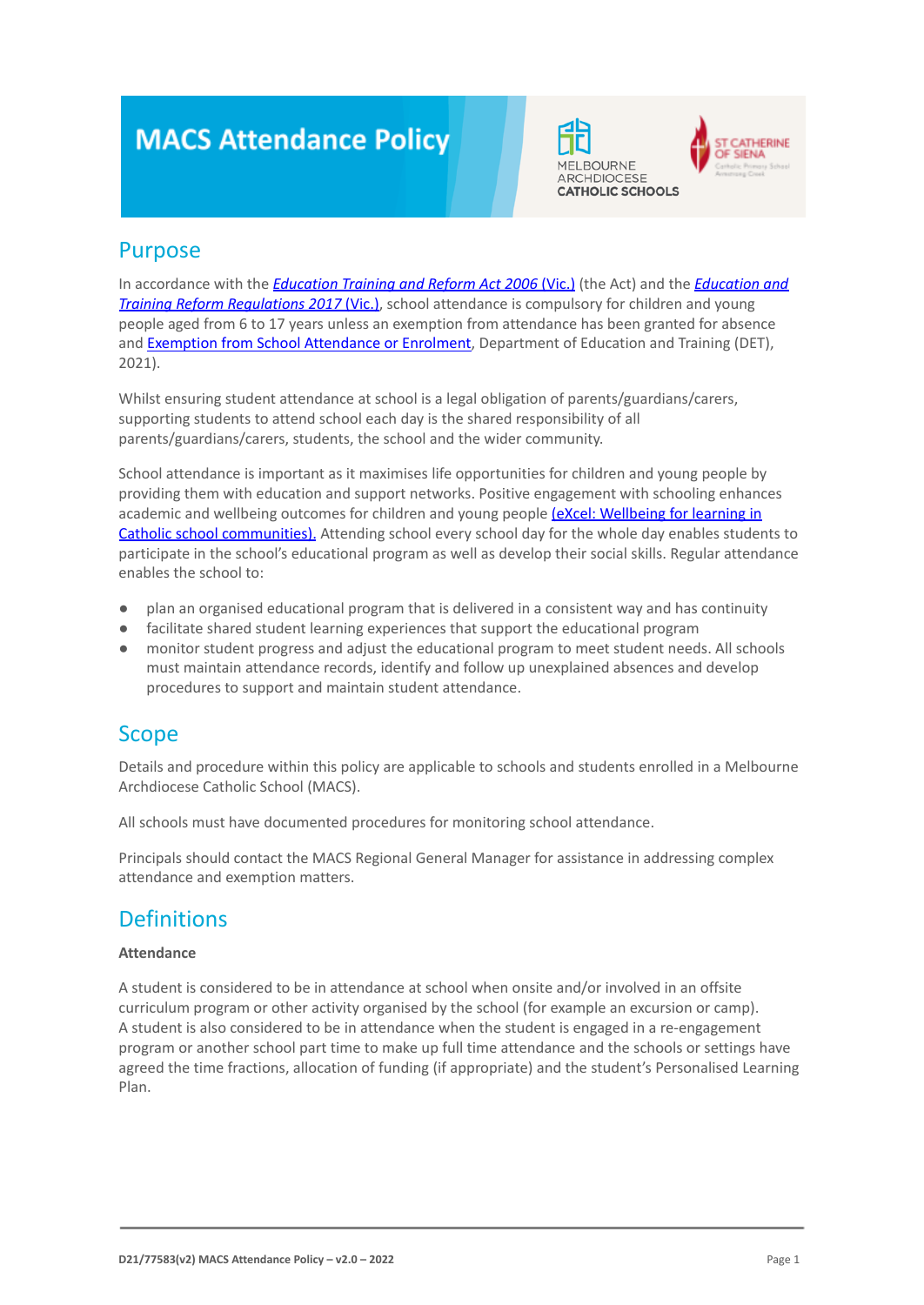# **MACS Attendance Policy**





### Purpose

In accordance with the *[Education Training and Reform](https://www.macs.vic.edu.au/CatholicEducationMelbourne/media/Documentation/Documents/eXcel-Wellbeing-for-learning_Guide_May-2018_CEM.pdf) Act 2006* (Vic.) (the Act) and the *[Education and](https://www.education.vic.gov.au/about/department/legislation/Pages/act2006regs.aspx) [Training Reform Regulations 2017](https://www.education.vic.gov.au/about/department/legislation/Pages/act2006regs.aspx) (Vic.)*, school attendance is compulsory for children and young people aged from 6 to 17 years unless an exemption from attendance has been granted for absence and [Exemption from School Attendance or Enrolment](https://www2.education.vic.gov.au/pal/exemption-school-attendance-and-enrolment/policy), Department of Education and Training (DET), 2021).

Whilst ensuring student attendance at school is a legal obligation of parents/guardians/carers, supporting students to attend school each day is the shared responsibility of all parents/guardians/carers, students, the school and the wider community.

School attendance is important as it maximises life opportunities for children and young people by providing them with education and support networks. Positive engagement with schooling enhances academic and wellbeing outcomes for children and young people [\(eXcel: Wellbeing for learning in](https://www.macs.vic.edu.au/CatholicEducationMelbourne/media/Documentation/Documents/eXcel-Wellbeing-for-learning_Guide_May-2018_CEM.pdf) [Catholic school communities\).](https://www.macs.vic.edu.au/CatholicEducationMelbourne/media/Documentation/Documents/eXcel-Wellbeing-for-learning_Guide_May-2018_CEM.pdf) Attending school every school day for the whole day enables students to participate in the school's educational program as well as develop their social skills. Regular attendance enables the school to:

- plan an organised educational program that is delivered in a consistent way and has continuity
- facilitate shared student learning experiences that support the educational program
- monitor student progress and adjust the educational program to meet student needs. All schools must maintain attendance records, identify and follow up unexplained absences and develop procedures to support and maintain student attendance.

### Scope

Details and procedure within this policy are applicable to schools and students enrolled in a Melbourne Archdiocese Catholic School (MACS).

All schools must have documented procedures for monitoring school attendance.

Principals should contact the MACS Regional General Manager for assistance in addressing complex attendance and exemption matters.

### **Definitions**

#### **Attendance**

A student is considered to be in attendance at school when onsite and/or involved in an offsite curriculum program or other activity organised by the school (for example an excursion or camp). A student is also considered to be in attendance when the student is engaged in a re-engagement program or another school part time to make up full time attendance and the schools or settings have agreed the time fractions, allocation of funding (if appropriate) and the student's Personalised Learning Plan.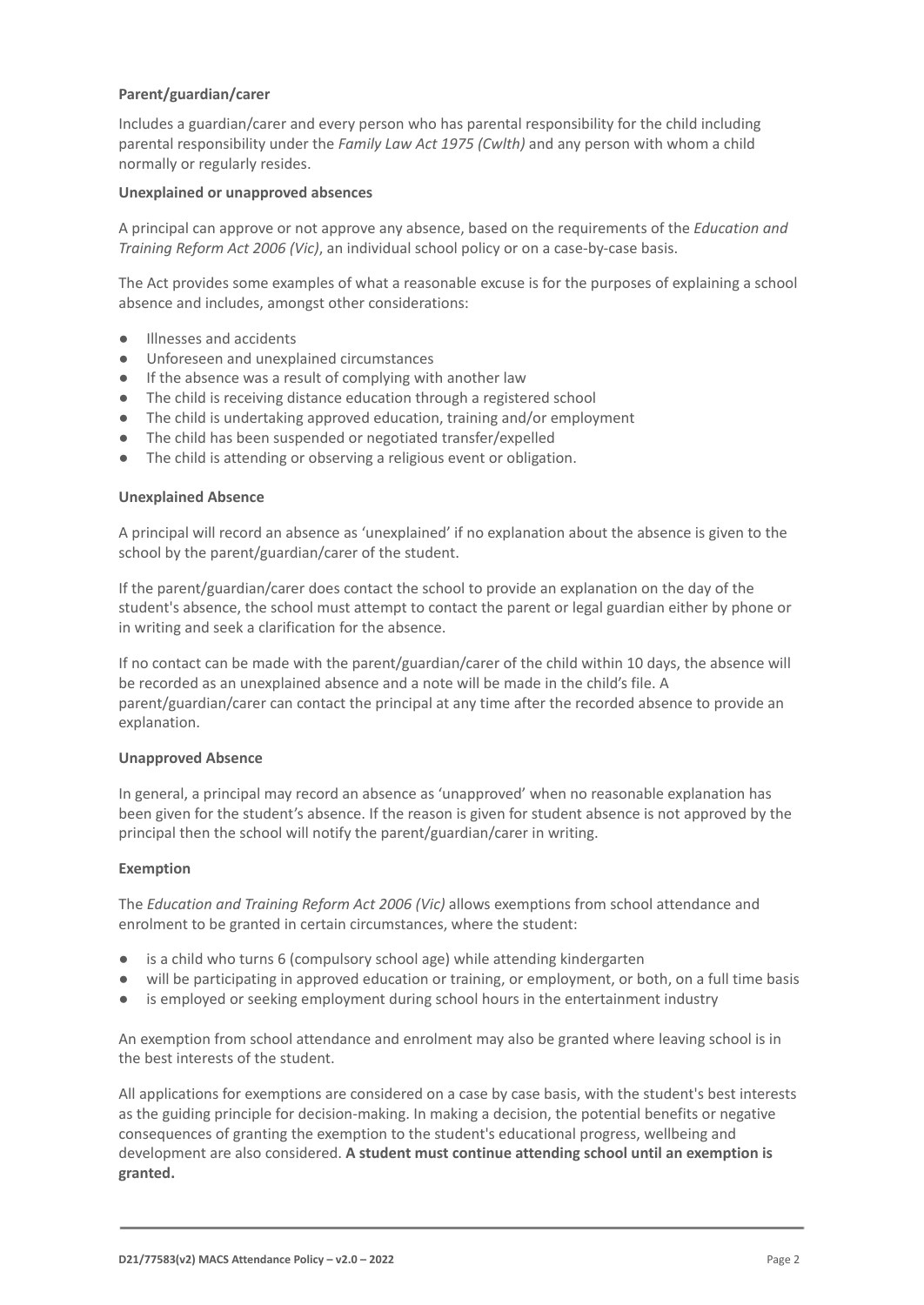#### **Parent/guardian/carer**

Includes a guardian/carer and every person who has parental responsibility for the child including parental responsibility under the *Family Law Act 1975 (Cwlth)* and any person with whom a child normally or regularly resides.

#### **Unexplained or unapproved absences**

A principal can approve or not approve any absence, based on the requirements of the *Education and Training Reform Act 2006 (Vic)*, an individual school policy or on a case-by-case basis.

The Act provides some examples of what a reasonable excuse is for the purposes of explaining a school absence and includes, amongst other considerations:

- Illnesses and accidents
- Unforeseen and unexplained circumstances
- If the absence was a result of complying with another law
- The child is receiving distance education through a registered school
- The child is undertaking approved education, training and/or employment
- The child has been suspended or negotiated transfer/expelled
- The child is attending or observing a religious event or obligation.

#### **Unexplained Absence**

A principal will record an absence as 'unexplained' if no explanation about the absence is given to the school by the parent/guardian/carer of the student.

If the parent/guardian/carer does contact the school to provide an explanation on the day of the student's absence, the school must attempt to contact the parent or legal guardian either by phone or in writing and seek a clarification for the absence.

If no contact can be made with the parent/guardian/carer of the child within 10 days, the absence will be recorded as an unexplained absence and a note will be made in the child's file. A parent/guardian/carer can contact the principal at any time after the recorded absence to provide an explanation.

#### **Unapproved Absence**

In general, a principal may record an absence as 'unapproved' when no reasonable explanation has been given for the student's absence. If the reason is given for student absence is not approved by the principal then the school will notify the parent/guardian/carer in writing.

#### **Exemption**

The *Education and Training Reform Act 2006 (Vic)* allows exemptions from school attendance and enrolment to be granted in certain circumstances, where the student:

- is a child who turns 6 (compulsory school age) while attending kindergarten
- will be participating in approved education or training, or employment, or both, on a full time basis
- is employed or seeking employment during school hours in the entertainment industry

An exemption from school attendance and enrolment may also be granted where leaving school is in the best interests of the student.

All applications for exemptions are considered on a case by case basis, with the student's best interests as the guiding principle for decision-making. In making a decision, the potential benefits or negative consequences of granting the exemption to the student's educational progress, wellbeing and development are also considered. **A student must continue attending school until an exemption is granted.**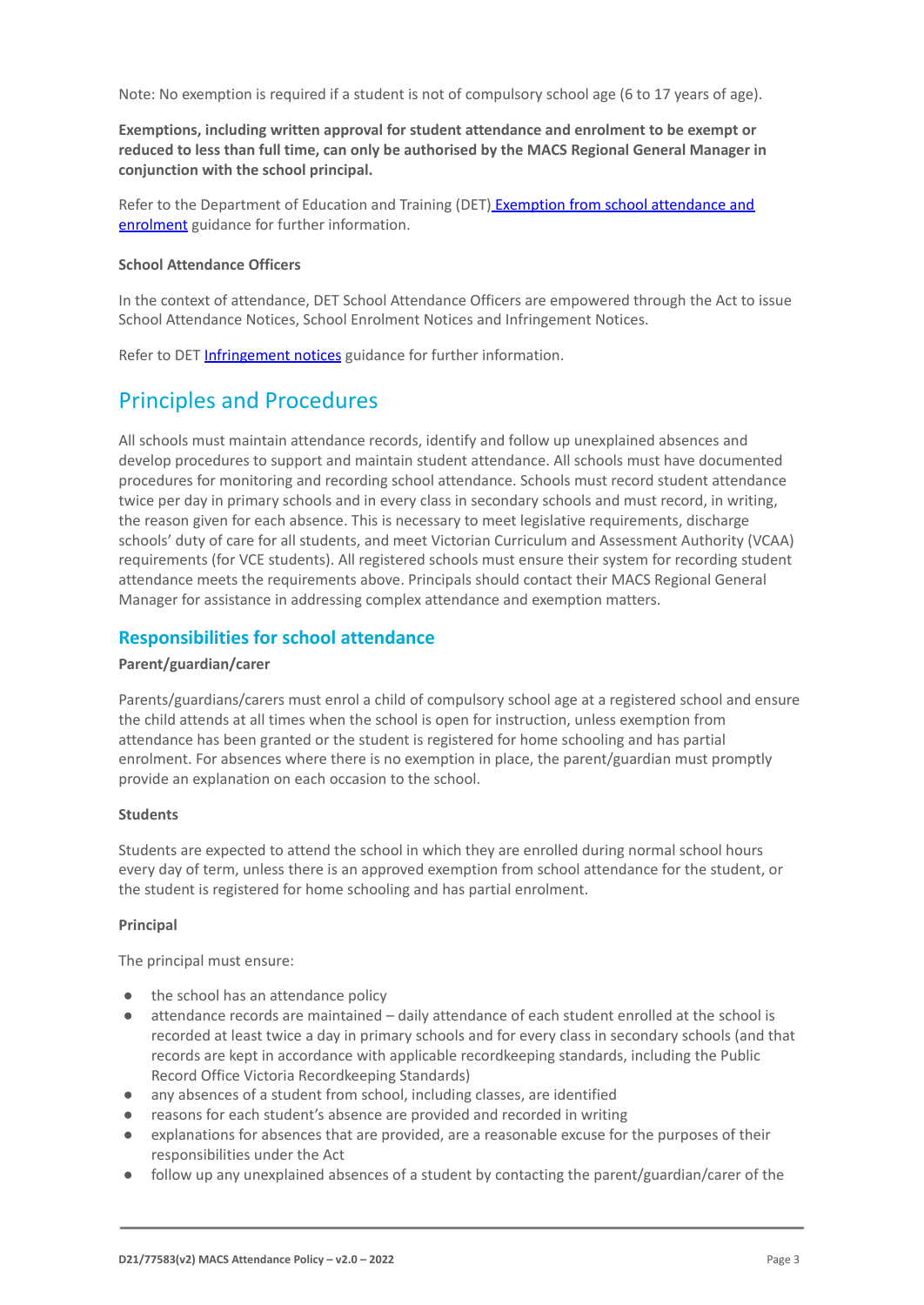Note: No exemption is required if a student is not of compulsory school age (6 to 17 years of age).

**Exemptions, including written approval for student attendance and enrolment to be exempt or reduced to less than full time, can only be authorised by the MACS Regional General Manager in conjunction with the school principal.**

Refer to the Department of Education and Training (DET) [Exemption from school attendance and](https://www2.education.vic.gov.au/pal/exemption-school-attendance-and-enrolment/guidance/1-exemption-categories) [enrolment](https://www2.education.vic.gov.au/pal/exemption-school-attendance-and-enrolment/guidance/1-exemption-categories) guidance for further information.

#### **School Attendance Officers**

In the context of attendance, DET School Attendance Officers are empowered through the Act to issue School Attendance Notices, School Enrolment Notices and Infringement Notices.

Refer to DET [Infringement notices](https://www2.education.vic.gov.au/pal/attendance/guidance/10-infringement-notices) guidance for further information.

## Principles and Procedures

All schools must maintain attendance records, identify and follow up unexplained absences and develop procedures to support and maintain student attendance. All schools must have documented procedures for monitoring and recording school attendance. Schools must record student attendance twice per day in primary schools and in every class in secondary schools and must record, in writing, the reason given for each absence. This is necessary to meet legislative requirements, discharge schools' duty of care for all students, and meet Victorian Curriculum and Assessment Authority (VCAA) requirements (for VCE students). All registered schools must ensure their system for recording student attendance meets the requirements above. Principals should contact their MACS Regional General Manager for assistance in addressing complex attendance and exemption matters.

### **Responsibilities for school attendance**

#### **Parent/guardian/carer**

Parents/guardians/carers must enrol a child of compulsory school age at a registered school and ensure the child attends at all times when the school is open for instruction, unless exemption from attendance has been granted or the student is registered for home schooling and has partial enrolment. For absences where there is no exemption in place, the parent/guardian must promptly provide an explanation on each occasion to the school.

#### **Students**

Students are expected to attend the school in which they are enrolled during normal school hours every day of term, unless there is an approved exemption from school attendance for the student, or the student is registered for home schooling and has partial enrolment.

#### **Principal**

The principal must ensure:

- the school has an attendance policy
- attendance records are maintained daily attendance of each student enrolled at the school is recorded at least twice a day in primary schools and for every class in secondary schools (and that records are kept in accordance with applicable recordkeeping standards, including the Public Record Office Victoria Recordkeeping Standards)
- any absences of a student from school, including classes, are identified
- reasons for each student's absence are provided and recorded in writing
- explanations for absences that are provided, are a reasonable excuse for the purposes of their responsibilities under the Act
- follow up any unexplained absences of a student by contacting the parent/guardian/carer of the